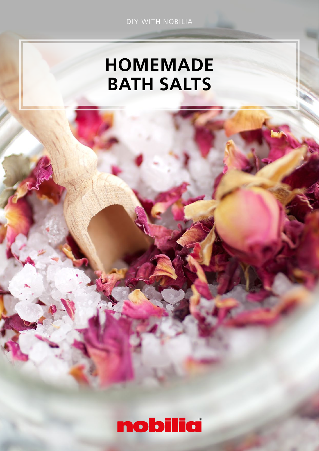# HOMEMADE BATH SALTS